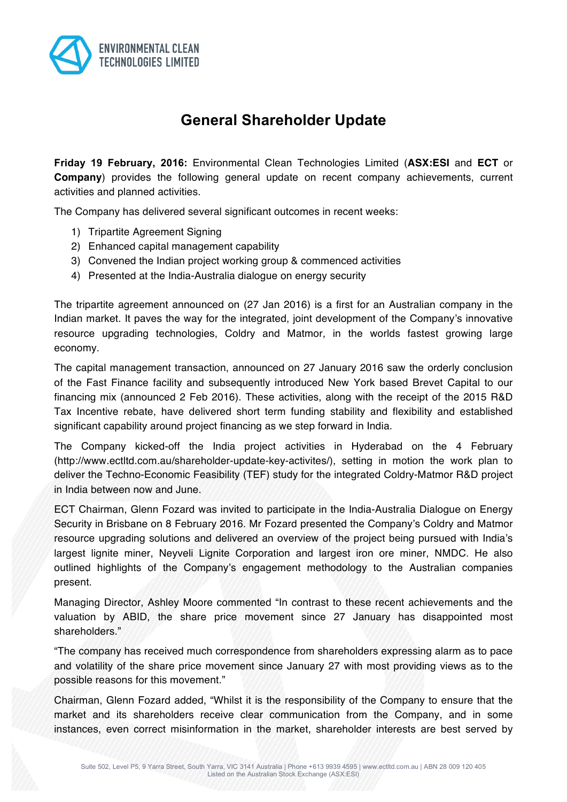

# **General Shareholder Update**

**Friday 19 February, 2016:** Environmental Clean Technologies Limited (**ASX:ESI** and **ECT** or **Company**) provides the following general update on recent company achievements, current activities and planned activities.

The Company has delivered several significant outcomes in recent weeks:

- 1) Tripartite Agreement Signing
- 2) Enhanced capital management capability
- 3) Convened the Indian project working group & commenced activities
- 4) Presented at the India-Australia dialogue on energy security

The tripartite agreement announced on (27 Jan 2016) is a first for an Australian company in the Indian market. It paves the way for the integrated, joint development of the Company's innovative resource upgrading technologies, Coldry and Matmor, in the worlds fastest growing large economy.

The capital management transaction, announced on 27 January 2016 saw the orderly conclusion of the Fast Finance facility and subsequently introduced New York based Brevet Capital to our financing mix (announced 2 Feb 2016). These activities, along with the receipt of the 2015 R&D Tax Incentive rebate, have delivered short term funding stability and flexibility and established significant capability around project financing as we step forward in India.

The Company kicked-off the India project activities in Hyderabad on the 4 February (http://www.ectltd.com.au/shareholder-update-key-activites/), setting in motion the work plan to deliver the Techno-Economic Feasibility (TEF) study for the integrated Coldry-Matmor R&D project in India between now and June.

ECT Chairman, Glenn Fozard was invited to participate in the India-Australia Dialogue on Energy Security in Brisbane on 8 February 2016. Mr Fozard presented the Company's Coldry and Matmor resource upgrading solutions and delivered an overview of the project being pursued with India's largest lignite miner, Neyveli Lignite Corporation and largest iron ore miner, NMDC. He also outlined highlights of the Company's engagement methodology to the Australian companies present.

Managing Director, Ashley Moore commented "In contrast to these recent achievements and the valuation by ABID, the share price movement since 27 January has disappointed most shareholders."

"The company has received much correspondence from shareholders expressing alarm as to pace and volatility of the share price movement since January 27 with most providing views as to the possible reasons for this movement."

Chairman, Glenn Fozard added, "Whilst it is the responsibility of the Company to ensure that the market and its shareholders receive clear communication from the Company, and in some instances, even correct misinformation in the market, shareholder interests are best served by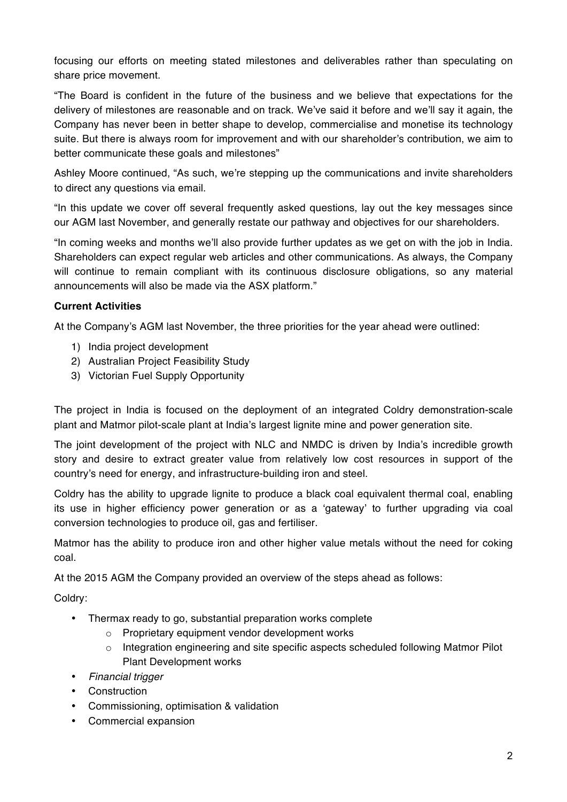focusing our efforts on meeting stated milestones and deliverables rather than speculating on share price movement.

"The Board is confident in the future of the business and we believe that expectations for the delivery of milestones are reasonable and on track. We've said it before and we'll say it again, the Company has never been in better shape to develop, commercialise and monetise its technology suite. But there is always room for improvement and with our shareholder's contribution, we aim to better communicate these goals and milestones"

Ashley Moore continued, "As such, we're stepping up the communications and invite shareholders to direct any questions via email.

"In this update we cover off several frequently asked questions, lay out the key messages since our AGM last November, and generally restate our pathway and objectives for our shareholders.

"In coming weeks and months we'll also provide further updates as we get on with the job in India. Shareholders can expect regular web articles and other communications. As always, the Company will continue to remain compliant with its continuous disclosure obligations, so any material announcements will also be made via the ASX platform."

# **Current Activities**

At the Company's AGM last November, the three priorities for the year ahead were outlined:

- 1) India project development
- 2) Australian Project Feasibility Study
- 3) Victorian Fuel Supply Opportunity

The project in India is focused on the deployment of an integrated Coldry demonstration-scale plant and Matmor pilot-scale plant at India's largest lignite mine and power generation site.

The joint development of the project with NLC and NMDC is driven by India's incredible growth story and desire to extract greater value from relatively low cost resources in support of the country's need for energy, and infrastructure-building iron and steel.

Coldry has the ability to upgrade lignite to produce a black coal equivalent thermal coal, enabling its use in higher efficiency power generation or as a 'gateway' to further upgrading via coal conversion technologies to produce oil, gas and fertiliser.

Matmor has the ability to produce iron and other higher value metals without the need for coking coal.

At the 2015 AGM the Company provided an overview of the steps ahead as follows:

Coldry:

- Thermax ready to go, substantial preparation works complete
	- o Proprietary equipment vendor development works
	- $\circ$  Integration engineering and site specific aspects scheduled following Matmor Pilot Plant Development works
- *Financial trigger*
- Construction
- Commissioning, optimisation & validation
- Commercial expansion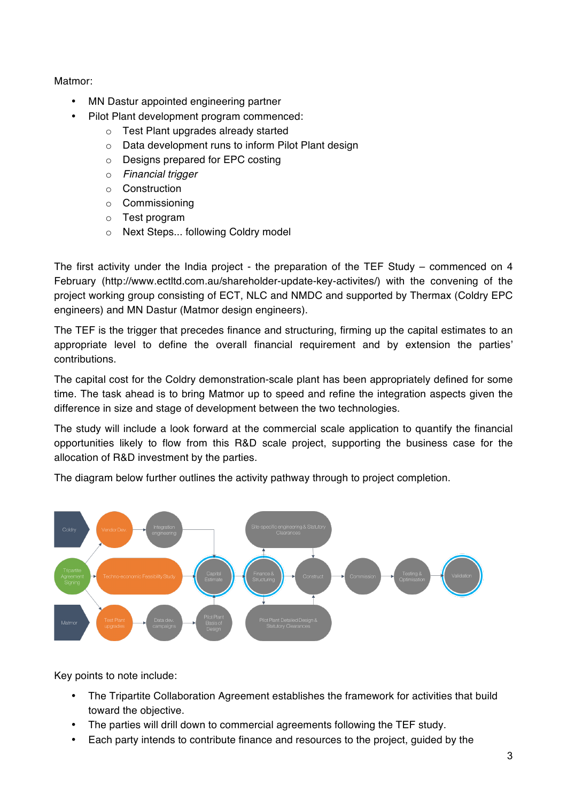Matmor:

- MN Dastur appointed engineering partner
- Pilot Plant development program commenced:
	- o Test Plant upgrades already started
	- o Data development runs to inform Pilot Plant design
	- o Designs prepared for EPC costing
	- o *Financial trigger*
	- o Construction
	- o Commissioning
	- o Test program
	- o Next Steps... following Coldry model

The first activity under the India project - the preparation of the TEF Study – commenced on 4 February (http://www.ectltd.com.au/shareholder-update-key-activites/) with the convening of the project working group consisting of ECT, NLC and NMDC and supported by Thermax (Coldry EPC engineers) and MN Dastur (Matmor design engineers).

The TEF is the trigger that precedes finance and structuring, firming up the capital estimates to an appropriate level to define the overall financial requirement and by extension the parties' contributions.

The capital cost for the Coldry demonstration-scale plant has been appropriately defined for some time. The task ahead is to bring Matmor up to speed and refine the integration aspects given the difference in size and stage of development between the two technologies.

The study will include a look forward at the commercial scale application to quantify the financial opportunities likely to flow from this R&D scale project, supporting the business case for the allocation of R&D investment by the parties.

The diagram below further outlines the activity pathway through to project completion.



Key points to note include:

- The Tripartite Collaboration Agreement establishes the framework for activities that build toward the objective.
- The parties will drill down to commercial agreements following the TEF study.
- Each party intends to contribute finance and resources to the project, guided by the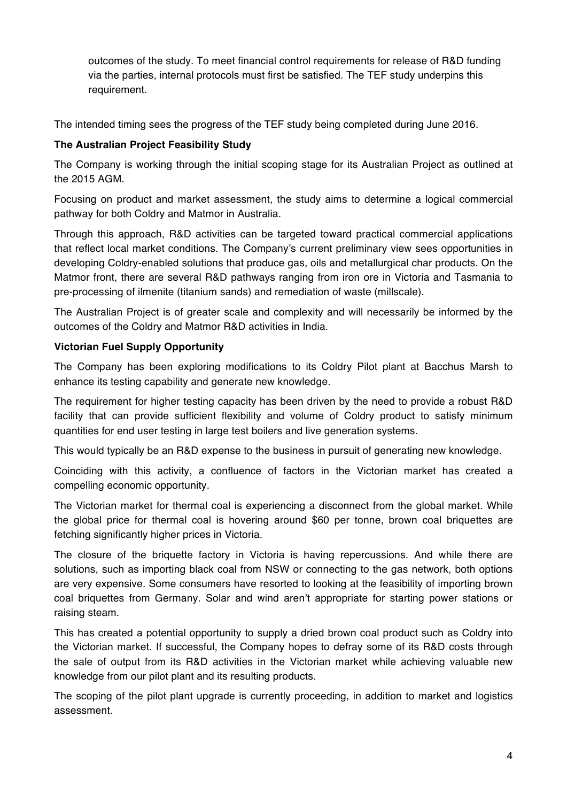outcomes of the study. To meet financial control requirements for release of R&D funding via the parties, internal protocols must first be satisfied. The TEF study underpins this requirement.

The intended timing sees the progress of the TEF study being completed during June 2016.

# **The Australian Project Feasibility Study**

The Company is working through the initial scoping stage for its Australian Project as outlined at the 2015 AGM.

Focusing on product and market assessment, the study aims to determine a logical commercial pathway for both Coldry and Matmor in Australia.

Through this approach, R&D activities can be targeted toward practical commercial applications that reflect local market conditions. The Company's current preliminary view sees opportunities in developing Coldry-enabled solutions that produce gas, oils and metallurgical char products. On the Matmor front, there are several R&D pathways ranging from iron ore in Victoria and Tasmania to pre-processing of ilmenite (titanium sands) and remediation of waste (millscale).

The Australian Project is of greater scale and complexity and will necessarily be informed by the outcomes of the Coldry and Matmor R&D activities in India.

# **Victorian Fuel Supply Opportunity**

The Company has been exploring modifications to its Coldry Pilot plant at Bacchus Marsh to enhance its testing capability and generate new knowledge.

The requirement for higher testing capacity has been driven by the need to provide a robust R&D facility that can provide sufficient flexibility and volume of Coldry product to satisfy minimum quantities for end user testing in large test boilers and live generation systems.

This would typically be an R&D expense to the business in pursuit of generating new knowledge.

Coinciding with this activity, a confluence of factors in the Victorian market has created a compelling economic opportunity.

The Victorian market for thermal coal is experiencing a disconnect from the global market. While the global price for thermal coal is hovering around \$60 per tonne, brown coal briquettes are fetching significantly higher prices in Victoria.

The closure of the briquette factory in Victoria is having repercussions. And while there are solutions, such as importing black coal from NSW or connecting to the gas network, both options are very expensive. Some consumers have resorted to looking at the feasibility of importing brown coal briquettes from Germany. Solar and wind aren't appropriate for starting power stations or raising steam.

This has created a potential opportunity to supply a dried brown coal product such as Coldry into the Victorian market. If successful, the Company hopes to defray some of its R&D costs through the sale of output from its R&D activities in the Victorian market while achieving valuable new knowledge from our pilot plant and its resulting products.

The scoping of the pilot plant upgrade is currently proceeding, in addition to market and logistics assessment.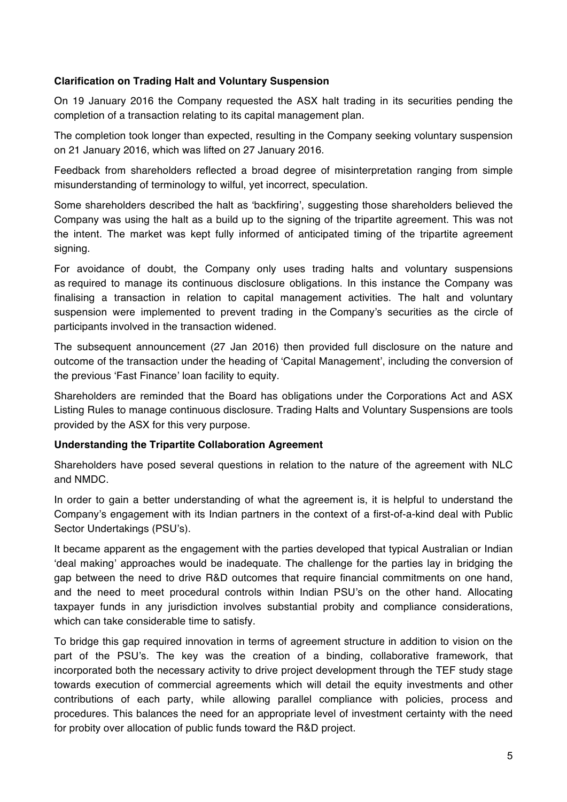## **Clarification on Trading Halt and Voluntary Suspension**

On 19 January 2016 the Company requested the ASX halt trading in its securities pending the completion of a transaction relating to its capital management plan.

The completion took longer than expected, resulting in the Company seeking voluntary suspension on 21 January 2016, which was lifted on 27 January 2016.

Feedback from shareholders reflected a broad degree of misinterpretation ranging from simple misunderstanding of terminology to wilful, yet incorrect, speculation.

Some shareholders described the halt as 'backfiring', suggesting those shareholders believed the Company was using the halt as a build up to the signing of the tripartite agreement. This was not the intent. The market was kept fully informed of anticipated timing of the tripartite agreement signing.

For avoidance of doubt, the Company only uses trading halts and voluntary suspensions as required to manage its continuous disclosure obligations. In this instance the Company was finalising a transaction in relation to capital management activities. The halt and voluntary suspension were implemented to prevent trading in the Company's securities as the circle of participants involved in the transaction widened.

The subsequent announcement (27 Jan 2016) then provided full disclosure on the nature and outcome of the transaction under the heading of 'Capital Management', including the conversion of the previous 'Fast Finance' loan facility to equity.

Shareholders are reminded that the Board has obligations under the Corporations Act and ASX Listing Rules to manage continuous disclosure. Trading Halts and Voluntary Suspensions are tools provided by the ASX for this very purpose.

# **Understanding the Tripartite Collaboration Agreement**

Shareholders have posed several questions in relation to the nature of the agreement with NLC and NMDC.

In order to gain a better understanding of what the agreement is, it is helpful to understand the Company's engagement with its Indian partners in the context of a first-of-a-kind deal with Public Sector Undertakings (PSU's).

It became apparent as the engagement with the parties developed that typical Australian or Indian 'deal making' approaches would be inadequate. The challenge for the parties lay in bridging the gap between the need to drive R&D outcomes that require financial commitments on one hand, and the need to meet procedural controls within Indian PSU's on the other hand. Allocating taxpayer funds in any jurisdiction involves substantial probity and compliance considerations, which can take considerable time to satisfy.

To bridge this gap required innovation in terms of agreement structure in addition to vision on the part of the PSU's. The key was the creation of a binding, collaborative framework, that incorporated both the necessary activity to drive project development through the TEF study stage towards execution of commercial agreements which will detail the equity investments and other contributions of each party, while allowing parallel compliance with policies, process and procedures. This balances the need for an appropriate level of investment certainty with the need for probity over allocation of public funds toward the R&D project.